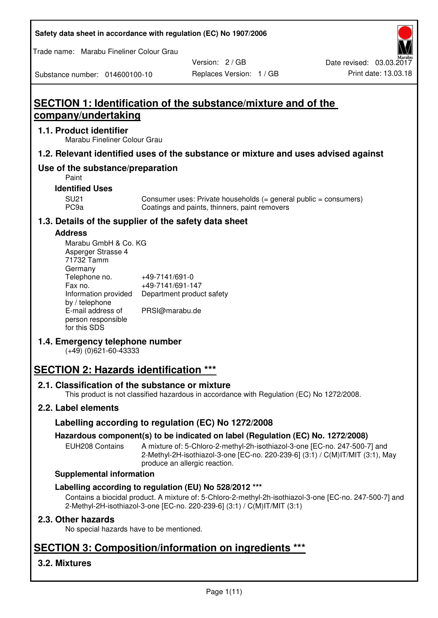| Safety data sheet in accordance with regulation (EC) No 1907/2006 |  |
|-------------------------------------------------------------------|--|
|-------------------------------------------------------------------|--|

Trade name: Marabu Fineliner Colour Grau

Substance number: 014600100-10

Version: 2 / GB

# **SECTION 1: Identification of the substance/mixture and of the company/undertaking**

# **1.1. Product identifier**

Marabu Fineliner Colour Grau

# **1.2. Relevant identified uses of the substance or mixture and uses advised against**

# **Use of the substance/preparation**

Paint

# **Identified Uses**

SU21 Consumer uses: Private households (= general public = consumers)<br>PC9a Coatings and paints, thinners, paint removers Coatings and paints, thinners, paint removers

# **1.3. Details of the supplier of the safety data sheet**

# **Address**

| Marabu GmbH & Co. KG |                           |
|----------------------|---------------------------|
| Asperger Strasse 4   |                           |
| 71732 Tamm           |                           |
| Germany              |                           |
| Telephone no.        | +49-7141/691-0            |
| Fax no.              | +49-7141/691-147          |
| Information provided | Department product safety |
| by / telephone       |                           |
| E-mail address of    | PRSI@marabu.de            |
| person responsible   |                           |
| for this SDS         |                           |

# **1.4. Emergency telephone number**

(+49) (0)621-60-43333

# **SECTION 2: Hazards identification \*\*\***

# **2.1. Classification of the substance or mixture**

This product is not classified hazardous in accordance with Regulation (EC) No 1272/2008.

# **2.2. Label elements**

# **Labelling according to regulation (EC) No 1272/2008**

# **Hazardous component(s) to be indicated on label (Regulation (EC) No. 1272/2008)**

EUH208 Contains A mixture of: 5-Chloro-2-methyl-2h-isothiazol-3-one [EC-no. 247-500-7] and 2-Methyl-2H-isothiazol-3-one [EC-no. 220-239-6] (3:1) / C(M)IT/MIT (3:1), May produce an allergic reaction.

#### **Supplemental information**

# **Labelling according to regulation (EU) No 528/2012 \*\*\***

Contains a biocidal product. A mixture of: 5-Chloro-2-methyl-2h-isothiazol-3-one [EC-no. 247-500-7] and 2-Methyl-2H-isothiazol-3-one [EC-no. 220-239-6] (3:1) / C(M)IT/MIT (3:1)

# **2.3. Other hazards**

No special hazards have to be mentioned.

# **SECTION 3: Composition/information on ingredients \*\*\***

# **3.2. Mixtures**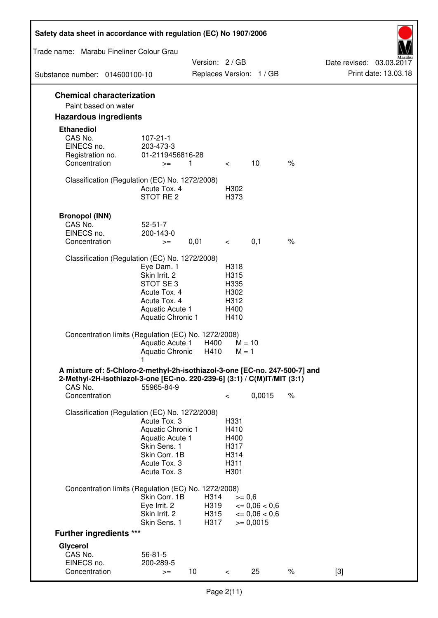| Safety data sheet in accordance with regulation (EC) No 1907/2006                                                                                      |                                      |               |                          |                          |               |                                                  |
|--------------------------------------------------------------------------------------------------------------------------------------------------------|--------------------------------------|---------------|--------------------------|--------------------------|---------------|--------------------------------------------------|
| Trade name: Marabu Fineliner Colour Grau                                                                                                               |                                      |               |                          |                          |               |                                                  |
| Substance number: 014600100-10                                                                                                                         |                                      | Version: 2/GB |                          | Replaces Version: 1 / GB |               | Date revised: 03.03.2017<br>Print date: 13.03.18 |
|                                                                                                                                                        |                                      |               |                          |                          |               |                                                  |
| <b>Chemical characterization</b><br>Paint based on water                                                                                               |                                      |               |                          |                          |               |                                                  |
| <b>Hazardous ingredients</b>                                                                                                                           |                                      |               |                          |                          |               |                                                  |
| <b>Ethanediol</b>                                                                                                                                      |                                      |               |                          |                          |               |                                                  |
| CAS No.                                                                                                                                                | $107 - 21 - 1$                       |               |                          |                          |               |                                                  |
| EINECS no.<br>Registration no.                                                                                                                         | 203-473-3<br>01-2119456816-28        |               |                          |                          |               |                                                  |
| Concentration                                                                                                                                          | $>=$                                 | 1             | $\overline{\phantom{0}}$ | 10                       | $\%$          |                                                  |
|                                                                                                                                                        |                                      |               |                          |                          |               |                                                  |
| Classification (Regulation (EC) No. 1272/2008)                                                                                                         | Acute Tox. 4                         |               | H302                     |                          |               |                                                  |
|                                                                                                                                                        | STOT RE 2                            |               | H373                     |                          |               |                                                  |
|                                                                                                                                                        |                                      |               |                          |                          |               |                                                  |
| <b>Bronopol (INN)</b><br>CAS No.                                                                                                                       | $52 - 51 - 7$                        |               |                          |                          |               |                                                  |
| EINECS no.                                                                                                                                             | 200-143-0                            |               |                          |                          |               |                                                  |
| Concentration                                                                                                                                          | $>=$                                 | 0,01          | $\lt$ $\sim$             | 0,1                      | $\frac{1}{6}$ |                                                  |
| Classification (Regulation (EC) No. 1272/2008)                                                                                                         |                                      |               |                          |                          |               |                                                  |
|                                                                                                                                                        | Eye Dam. 1                           |               | H318                     |                          |               |                                                  |
|                                                                                                                                                        | Skin Irrit. 2                        |               | H315                     |                          |               |                                                  |
|                                                                                                                                                        | STOT SE 3<br>Acute Tox. 4            |               | H335<br>H302             |                          |               |                                                  |
|                                                                                                                                                        | Acute Tox. 4                         |               | H312                     |                          |               |                                                  |
|                                                                                                                                                        | Aquatic Acute 1                      |               | H400                     |                          |               |                                                  |
|                                                                                                                                                        | Aquatic Chronic 1                    |               | H410                     |                          |               |                                                  |
| Concentration limits (Regulation (EC) No. 1272/2008)                                                                                                   |                                      |               |                          |                          |               |                                                  |
|                                                                                                                                                        | Aquatic Acute 1<br>Aquatic Chronic   | H400<br>H410  | $M = 1$                  | $M = 10$                 |               |                                                  |
|                                                                                                                                                        |                                      |               |                          |                          |               |                                                  |
| A mixture of: 5-Chloro-2-methyl-2h-isothiazol-3-one [EC-no. 247-500-7] and<br>2-Methyl-2H-isothiazol-3-one [EC-no. 220-239-6] (3:1) / C(M)IT/MIT (3:1) |                                      |               |                          |                          |               |                                                  |
| CAS No.                                                                                                                                                | 55965-84-9                           |               |                          |                          |               |                                                  |
| Concentration                                                                                                                                          |                                      |               | $\,<\,$                  | 0,0015                   | $\%$          |                                                  |
| Classification (Regulation (EC) No. 1272/2008)                                                                                                         |                                      |               |                          |                          |               |                                                  |
|                                                                                                                                                        | Acute Tox. 3                         |               | H331                     |                          |               |                                                  |
|                                                                                                                                                        | Aquatic Chronic 1<br>Aquatic Acute 1 |               | H410<br>H400             |                          |               |                                                  |
|                                                                                                                                                        | Skin Sens. 1                         |               | H317                     |                          |               |                                                  |
|                                                                                                                                                        | Skin Corr. 1B                        |               | H314                     |                          |               |                                                  |
|                                                                                                                                                        | Acute Tox. 3<br>Acute Tox. 3         |               | H311<br>H301             |                          |               |                                                  |
|                                                                                                                                                        |                                      |               |                          |                          |               |                                                  |
| Concentration limits (Regulation (EC) No. 1272/2008)                                                                                                   | Skin Corr. 1B                        | H314          |                          | $>= 0,6$                 |               |                                                  |
|                                                                                                                                                        | Eye Irrit. 2                         | H319          |                          | $\epsilon = 0.06 < 0.6$  |               |                                                  |
|                                                                                                                                                        | Skin Irrit. 2                        | H315          |                          | $\epsilon = 0.06 < 0.6$  |               |                                                  |
|                                                                                                                                                        | Skin Sens. 1                         | H317          |                          | $= 0,0015$               |               |                                                  |
| <b>Further ingredients ***</b>                                                                                                                         |                                      |               |                          |                          |               |                                                  |
| Glycerol<br>CAS No.                                                                                                                                    | $56 - 81 - 5$                        |               |                          |                          |               |                                                  |
| EINECS no.                                                                                                                                             | 200-289-5                            |               |                          |                          |               |                                                  |
| Concentration                                                                                                                                          | $>=$                                 | 10            | $\,<\,$                  | 25                       | $\%$          | $[3]$                                            |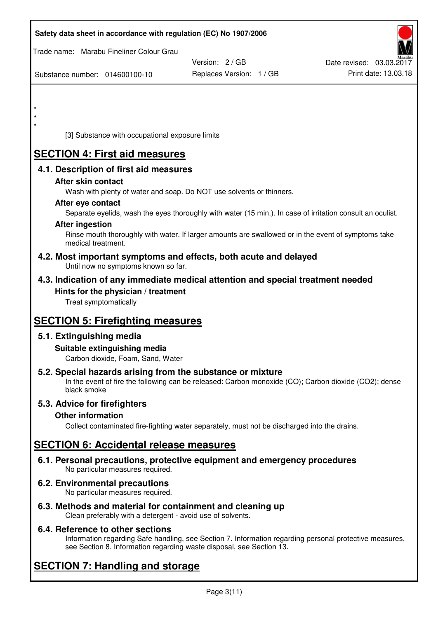| Safety data sheet in accordance with regulation (EC) No 1907/2006                                                                                                                  |                                           |                                                  |
|------------------------------------------------------------------------------------------------------------------------------------------------------------------------------------|-------------------------------------------|--------------------------------------------------|
| Trade name: Marabu Fineliner Colour Grau                                                                                                                                           |                                           |                                                  |
| Substance number: 014600100-10                                                                                                                                                     | Version: 2/GB<br>Replaces Version: 1 / GB | Date revised: 03.03.2017<br>Print date: 13.03.18 |
|                                                                                                                                                                                    |                                           |                                                  |
| $\star$                                                                                                                                                                            |                                           |                                                  |
| $\star$                                                                                                                                                                            |                                           |                                                  |
| [3] Substance with occupational exposure limits                                                                                                                                    |                                           |                                                  |
| <b>SECTION 4: First aid measures</b>                                                                                                                                               |                                           |                                                  |
| 4.1. Description of first aid measures<br>After skin contact                                                                                                                       |                                           |                                                  |
| Wash with plenty of water and soap. Do NOT use solvents or thinners.                                                                                                               |                                           |                                                  |
| After eye contact<br>Separate eyelids, wash the eyes thoroughly with water (15 min.). In case of irritation consult an oculist.                                                    |                                           |                                                  |
| <b>After ingestion</b>                                                                                                                                                             |                                           |                                                  |
| Rinse mouth thoroughly with water. If larger amounts are swallowed or in the event of symptoms take<br>medical treatment.                                                          |                                           |                                                  |
| 4.2. Most important symptoms and effects, both acute and delayed<br>Until now no symptoms known so far.                                                                            |                                           |                                                  |
| 4.3. Indication of any immediate medical attention and special treatment needed                                                                                                    |                                           |                                                  |
| Hints for the physician / treatment<br>Treat symptomatically                                                                                                                       |                                           |                                                  |
| <b>SECTION 5: Firefighting measures</b>                                                                                                                                            |                                           |                                                  |
| 5.1. Extinguishing media                                                                                                                                                           |                                           |                                                  |
| Suitable extinguishing media<br>Carbon dioxide, Foam, Sand, Water                                                                                                                  |                                           |                                                  |
| 5.2. Special hazards arising from the substance or mixture<br>In the event of fire the following can be released: Carbon monoxide (CO); Carbon dioxide (CO2); dense<br>black smoke |                                           |                                                  |
| 5.3. Advice for firefighters                                                                                                                                                       |                                           |                                                  |
| <b>Other information</b><br>Collect contaminated fire-fighting water separately, must not be discharged into the drains.                                                           |                                           |                                                  |
| <b>SECTION 6: Accidental release measures</b>                                                                                                                                      |                                           |                                                  |
| 6.1. Personal precautions, protective equipment and emergency procedures<br>No particular measures required.                                                                       |                                           |                                                  |
| 6.2. Environmental precautions<br>No particular measures required.                                                                                                                 |                                           |                                                  |

**6.3. Methods and material for containment and cleaning up**  Clean preferably with a detergent - avoid use of solvents.

# **6.4. Reference to other sections**

Information regarding Safe handling, see Section 7. Information regarding personal protective measures, see Section 8. Information regarding waste disposal, see Section 13.

# **SECTION 7: Handling and storage**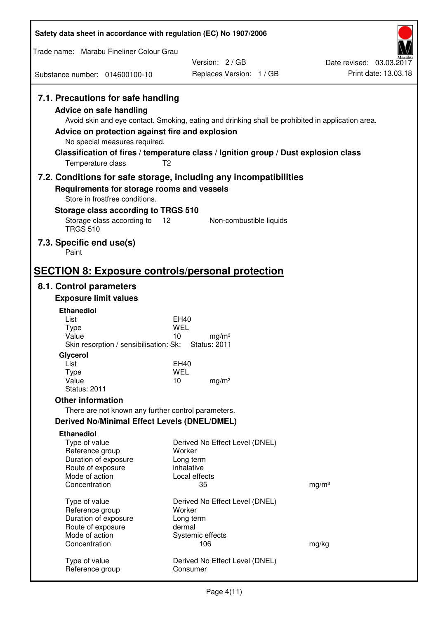| Safety data sheet in accordance with regulation (EC) No 1907/2006                                                                                                             |                                                                                                                                                                                                            |                          |
|-------------------------------------------------------------------------------------------------------------------------------------------------------------------------------|------------------------------------------------------------------------------------------------------------------------------------------------------------------------------------------------------------|--------------------------|
| Trade name: Marabu Fineliner Colour Grau                                                                                                                                      |                                                                                                                                                                                                            |                          |
|                                                                                                                                                                               | Version: 2/GB                                                                                                                                                                                              | Date revised: 03.03.2017 |
| Substance number: 014600100-10                                                                                                                                                | Replaces Version: 1 / GB                                                                                                                                                                                   | Print date: 13.03.18     |
| 7.1. Precautions for safe handling<br><b>Advice on safe handling</b><br>Advice on protection against fire and explosion<br>No special measures required.<br>Temperature class | Avoid skin and eye contact. Smoking, eating and drinking shall be prohibited in application area.<br>Classification of fires / temperature class / Ignition group / Dust explosion class<br>T <sub>2</sub> |                          |
|                                                                                                                                                                               | 7.2. Conditions for safe storage, including any incompatibilities                                                                                                                                          |                          |
| Requirements for storage rooms and vessels                                                                                                                                    |                                                                                                                                                                                                            |                          |
| Store in frostfree conditions.                                                                                                                                                |                                                                                                                                                                                                            |                          |
| Storage class according to TRGS 510<br>Storage class according to                                                                                                             | 12<br>Non-combustible liquids                                                                                                                                                                              |                          |
| <b>TRGS 510</b>                                                                                                                                                               |                                                                                                                                                                                                            |                          |
| 7.3. Specific end use(s)                                                                                                                                                      |                                                                                                                                                                                                            |                          |
| Paint                                                                                                                                                                         |                                                                                                                                                                                                            |                          |
|                                                                                                                                                                               | <b>SECTION 8: Exposure controls/personal protection</b>                                                                                                                                                    |                          |
| 8.1. Control parameters                                                                                                                                                       |                                                                                                                                                                                                            |                          |
| <b>Exposure limit values</b>                                                                                                                                                  |                                                                                                                                                                                                            |                          |
| <b>Ethanediol</b>                                                                                                                                                             |                                                                                                                                                                                                            |                          |
| List<br><b>Type</b>                                                                                                                                                           | <b>EH40</b><br>WEL                                                                                                                                                                                         |                          |
| Value                                                                                                                                                                         | 10<br>mg/m <sup>3</sup>                                                                                                                                                                                    |                          |
| Skin resorption / sensibilisation: Sk;                                                                                                                                        | <b>Status: 2011</b>                                                                                                                                                                                        |                          |
| Glycerol<br>List                                                                                                                                                              | <b>EH40</b>                                                                                                                                                                                                |                          |
| <b>Type</b>                                                                                                                                                                   | <b>WEL</b>                                                                                                                                                                                                 |                          |
| Value<br><b>Status: 2011</b>                                                                                                                                                  | 10<br>mg/m <sup>3</sup>                                                                                                                                                                                    |                          |
| <b>Other information</b>                                                                                                                                                      |                                                                                                                                                                                                            |                          |
| There are not known any further control parameters.                                                                                                                           |                                                                                                                                                                                                            |                          |
| <b>Derived No/Minimal Effect Levels (DNEL/DMEL)</b>                                                                                                                           |                                                                                                                                                                                                            |                          |
| <b>Ethanediol</b>                                                                                                                                                             |                                                                                                                                                                                                            |                          |
| Type of value<br>Reference group                                                                                                                                              | Derived No Effect Level (DNEL)<br>Worker                                                                                                                                                                   |                          |
| Duration of exposure                                                                                                                                                          | Long term                                                                                                                                                                                                  |                          |
| Route of exposure                                                                                                                                                             | inhalative                                                                                                                                                                                                 |                          |
| Mode of action<br>Concentration                                                                                                                                               | Local effects<br>35                                                                                                                                                                                        | mg/m <sup>3</sup>        |
|                                                                                                                                                                               |                                                                                                                                                                                                            |                          |
| Type of value<br>Reference group                                                                                                                                              | Derived No Effect Level (DNEL)<br>Worker                                                                                                                                                                   |                          |
| Duration of exposure                                                                                                                                                          | Long term                                                                                                                                                                                                  |                          |
| Route of exposure                                                                                                                                                             | dermal                                                                                                                                                                                                     |                          |
| Mode of action<br>Concentration                                                                                                                                               | Systemic effects<br>106                                                                                                                                                                                    | mg/kg                    |
|                                                                                                                                                                               |                                                                                                                                                                                                            |                          |
| Type of value<br>Reference group                                                                                                                                              | Derived No Effect Level (DNEL)<br>Consumer                                                                                                                                                                 |                          |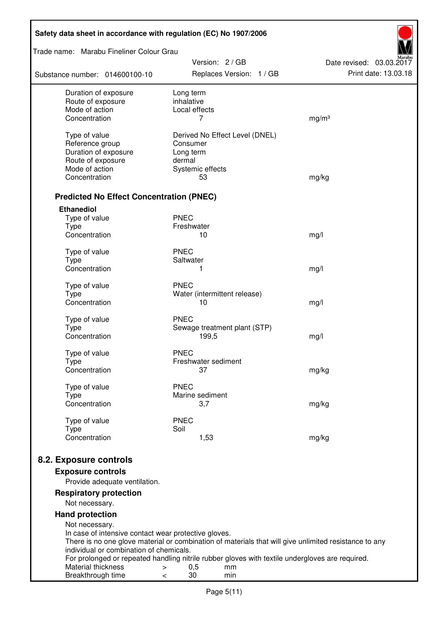| Safety data sheet in accordance with regulation (EC) No 1907/2006 |                                                                                                       |                                                  |
|-------------------------------------------------------------------|-------------------------------------------------------------------------------------------------------|--------------------------------------------------|
| Trade name: Marabu Fineliner Colour Grau                          | Version: 2/GB                                                                                         |                                                  |
| Substance number: 014600100-10                                    | Replaces Version: 1 / GB                                                                              | Date revised: 03.03.2017<br>Print date: 13.03.18 |
| Duration of exposure<br>Route of exposure                         | Long term<br>inhalative                                                                               |                                                  |
| Mode of action                                                    | Local effects                                                                                         |                                                  |
| Concentration                                                     | 7                                                                                                     | mg/m <sup>3</sup>                                |
| Type of value                                                     | Derived No Effect Level (DNEL)                                                                        |                                                  |
| Reference group                                                   | Consumer                                                                                              |                                                  |
| Duration of exposure                                              | Long term                                                                                             |                                                  |
| Route of exposure                                                 | dermal                                                                                                |                                                  |
| Mode of action                                                    | Systemic effects                                                                                      |                                                  |
| Concentration                                                     | 53                                                                                                    | mg/kg                                            |
| <b>Predicted No Effect Concentration (PNEC)</b>                   |                                                                                                       |                                                  |
| <b>Ethanediol</b>                                                 |                                                                                                       |                                                  |
| Type of value                                                     | <b>PNEC</b>                                                                                           |                                                  |
| <b>Type</b><br>Concentration                                      | Freshwater<br>10                                                                                      |                                                  |
|                                                                   |                                                                                                       | mg/l                                             |
| Type of value                                                     | <b>PNEC</b>                                                                                           |                                                  |
| <b>Type</b>                                                       | Saltwater                                                                                             |                                                  |
| Concentration                                                     | 1                                                                                                     | mg/l                                             |
| Type of value                                                     | <b>PNEC</b>                                                                                           |                                                  |
| <b>Type</b>                                                       | Water (intermittent release)                                                                          |                                                  |
| Concentration                                                     | 10                                                                                                    | mg/l                                             |
| Type of value                                                     | <b>PNEC</b>                                                                                           |                                                  |
| <b>Type</b>                                                       | Sewage treatment plant (STP)                                                                          |                                                  |
| Concentration                                                     | 199,5                                                                                                 | mg/l                                             |
| Type of value                                                     | <b>PNEC</b>                                                                                           |                                                  |
| Type                                                              | Freshwater sediment                                                                                   |                                                  |
| Concentration                                                     | 37                                                                                                    | mg/kg                                            |
| Type of value                                                     | <b>PNEC</b>                                                                                           |                                                  |
| <b>Type</b>                                                       | Marine sediment                                                                                       |                                                  |
| Concentration                                                     | 3,7                                                                                                   | mg/kg                                            |
| Type of value                                                     | <b>PNEC</b>                                                                                           |                                                  |
| <b>Type</b><br>Concentration                                      | Soil                                                                                                  |                                                  |
|                                                                   | 1,53                                                                                                  | mg/kg                                            |
| 8.2. Exposure controls                                            |                                                                                                       |                                                  |
| <b>Exposure controls</b><br>Provide adequate ventilation.         |                                                                                                       |                                                  |
| <b>Respiratory protection</b>                                     |                                                                                                       |                                                  |
| Not necessary.                                                    |                                                                                                       |                                                  |
| <b>Hand protection</b><br>Not necessary.                          |                                                                                                       |                                                  |
| In case of intensive contact wear protective gloves.              |                                                                                                       |                                                  |
|                                                                   | There is no one glove material or combination of materials that will give unlimited resistance to any |                                                  |
| individual or combination of chemicals.                           | For prolonged or repeated handling nitrile rubber gloves with textile undergloves are required.       |                                                  |
| Material thickness<br>>                                           | 0,5<br>mm                                                                                             |                                                  |
| Breakthrough time                                                 | 30<br>min<br>$\,<\,$                                                                                  |                                                  |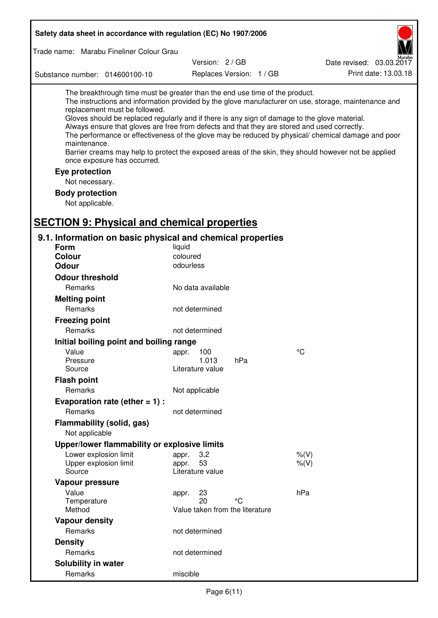| Safety data sheet in accordance with regulation (EC) No 1907/2006                                                                                                                                                                                                                                                                                            |                                 |                          |                                                                                                                                                                                                                                                                                                                    |
|--------------------------------------------------------------------------------------------------------------------------------------------------------------------------------------------------------------------------------------------------------------------------------------------------------------------------------------------------------------|---------------------------------|--------------------------|--------------------------------------------------------------------------------------------------------------------------------------------------------------------------------------------------------------------------------------------------------------------------------------------------------------------|
| Trade name: Marabu Fineliner Colour Grau                                                                                                                                                                                                                                                                                                                     |                                 |                          |                                                                                                                                                                                                                                                                                                                    |
|                                                                                                                                                                                                                                                                                                                                                              | Version: 2 / GB                 |                          | Date revised: 03.03.2017                                                                                                                                                                                                                                                                                           |
| Substance number: 014600100-10                                                                                                                                                                                                                                                                                                                               |                                 | Replaces Version: 1 / GB | Print date: 13.03.18                                                                                                                                                                                                                                                                                               |
|                                                                                                                                                                                                                                                                                                                                                              |                                 |                          |                                                                                                                                                                                                                                                                                                                    |
| The breakthrough time must be greater than the end use time of the product.<br>replacement must be followed.<br>Gloves should be replaced regularly and if there is any sign of damage to the glove material.<br>Always ensure that gloves are free from defects and that they are stored and used correctly.<br>maintenance.<br>once exposure has occurred. |                                 |                          | The instructions and information provided by the glove manufacturer on use, storage, maintenance and<br>The performance or effectiveness of the glove may be reduced by physical/ chemical damage and poor<br>Barrier creams may help to protect the exposed areas of the skin, they should however not be applied |
| Eye protection                                                                                                                                                                                                                                                                                                                                               |                                 |                          |                                                                                                                                                                                                                                                                                                                    |
| Not necessary.                                                                                                                                                                                                                                                                                                                                               |                                 |                          |                                                                                                                                                                                                                                                                                                                    |
| <b>Body protection</b>                                                                                                                                                                                                                                                                                                                                       |                                 |                          |                                                                                                                                                                                                                                                                                                                    |
| Not applicable.                                                                                                                                                                                                                                                                                                                                              |                                 |                          |                                                                                                                                                                                                                                                                                                                    |
|                                                                                                                                                                                                                                                                                                                                                              |                                 |                          |                                                                                                                                                                                                                                                                                                                    |
| <b>SECTION 9: Physical and chemical properties</b>                                                                                                                                                                                                                                                                                                           |                                 |                          |                                                                                                                                                                                                                                                                                                                    |
| 9.1. Information on basic physical and chemical properties                                                                                                                                                                                                                                                                                                   |                                 |                          |                                                                                                                                                                                                                                                                                                                    |
| <b>Form</b>                                                                                                                                                                                                                                                                                                                                                  | liquid                          |                          |                                                                                                                                                                                                                                                                                                                    |
| <b>Colour</b>                                                                                                                                                                                                                                                                                                                                                | coloured                        |                          |                                                                                                                                                                                                                                                                                                                    |
| <b>Odour</b>                                                                                                                                                                                                                                                                                                                                                 | odourless                       |                          |                                                                                                                                                                                                                                                                                                                    |
| <b>Odour threshold</b>                                                                                                                                                                                                                                                                                                                                       |                                 |                          |                                                                                                                                                                                                                                                                                                                    |
| Remarks                                                                                                                                                                                                                                                                                                                                                      | No data available               |                          |                                                                                                                                                                                                                                                                                                                    |
| <b>Melting point</b>                                                                                                                                                                                                                                                                                                                                         |                                 |                          |                                                                                                                                                                                                                                                                                                                    |
| Remarks                                                                                                                                                                                                                                                                                                                                                      | not determined                  |                          |                                                                                                                                                                                                                                                                                                                    |
| <b>Freezing point</b>                                                                                                                                                                                                                                                                                                                                        |                                 |                          |                                                                                                                                                                                                                                                                                                                    |
| Remarks                                                                                                                                                                                                                                                                                                                                                      | not determined                  |                          |                                                                                                                                                                                                                                                                                                                    |
| Initial boiling point and boiling range                                                                                                                                                                                                                                                                                                                      |                                 |                          |                                                                                                                                                                                                                                                                                                                    |
| Value                                                                                                                                                                                                                                                                                                                                                        | appr. 100                       |                          | $\rm ^{\circ}C$                                                                                                                                                                                                                                                                                                    |
| Pressure                                                                                                                                                                                                                                                                                                                                                     | 1.013                           | hPa                      |                                                                                                                                                                                                                                                                                                                    |
| Source                                                                                                                                                                                                                                                                                                                                                       | Literature value                |                          |                                                                                                                                                                                                                                                                                                                    |
| <b>Flash point</b>                                                                                                                                                                                                                                                                                                                                           |                                 |                          |                                                                                                                                                                                                                                                                                                                    |
| Remarks                                                                                                                                                                                                                                                                                                                                                      | Not applicable                  |                          |                                                                                                                                                                                                                                                                                                                    |
| Evaporation rate (ether $= 1$ ) :                                                                                                                                                                                                                                                                                                                            |                                 |                          |                                                                                                                                                                                                                                                                                                                    |
| Remarks                                                                                                                                                                                                                                                                                                                                                      | not determined                  |                          |                                                                                                                                                                                                                                                                                                                    |
| <b>Flammability (solid, gas)</b>                                                                                                                                                                                                                                                                                                                             |                                 |                          |                                                                                                                                                                                                                                                                                                                    |
| Not applicable                                                                                                                                                                                                                                                                                                                                               |                                 |                          |                                                                                                                                                                                                                                                                                                                    |
| Upper/lower flammability or explosive limits                                                                                                                                                                                                                                                                                                                 |                                 |                          |                                                                                                                                                                                                                                                                                                                    |
| Lower explosion limit<br>Upper explosion limit                                                                                                                                                                                                                                                                                                               | 3,2<br>appr.<br>53<br>appr.     |                          | $%$ $(V)$<br>$%$ (V)                                                                                                                                                                                                                                                                                               |
| Source                                                                                                                                                                                                                                                                                                                                                       | Literature value                |                          |                                                                                                                                                                                                                                                                                                                    |
| Vapour pressure                                                                                                                                                                                                                                                                                                                                              |                                 |                          |                                                                                                                                                                                                                                                                                                                    |
| Value                                                                                                                                                                                                                                                                                                                                                        | 23<br>appr.                     |                          | hPa                                                                                                                                                                                                                                                                                                                |
| Temperature                                                                                                                                                                                                                                                                                                                                                  | 20                              | °C                       |                                                                                                                                                                                                                                                                                                                    |
| Method                                                                                                                                                                                                                                                                                                                                                       | Value taken from the literature |                          |                                                                                                                                                                                                                                                                                                                    |
| <b>Vapour density</b>                                                                                                                                                                                                                                                                                                                                        |                                 |                          |                                                                                                                                                                                                                                                                                                                    |
| Remarks                                                                                                                                                                                                                                                                                                                                                      | not determined                  |                          |                                                                                                                                                                                                                                                                                                                    |
| <b>Density</b>                                                                                                                                                                                                                                                                                                                                               |                                 |                          |                                                                                                                                                                                                                                                                                                                    |
| Remarks                                                                                                                                                                                                                                                                                                                                                      | not determined                  |                          |                                                                                                                                                                                                                                                                                                                    |
| Solubility in water                                                                                                                                                                                                                                                                                                                                          |                                 |                          |                                                                                                                                                                                                                                                                                                                    |
| Remarks                                                                                                                                                                                                                                                                                                                                                      | miscible                        |                          |                                                                                                                                                                                                                                                                                                                    |

 $\mathbf{r}$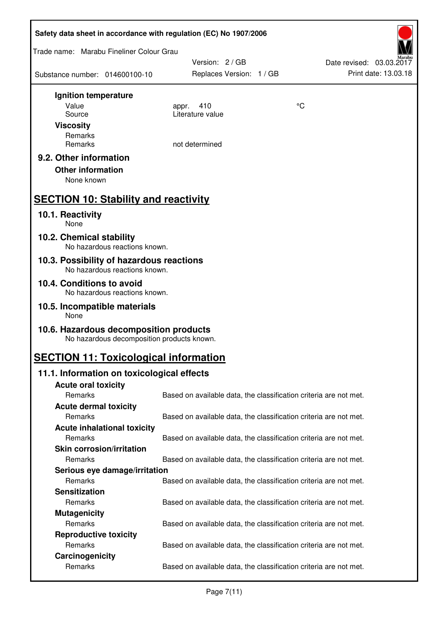| Safety data sheet in accordance with regulation (EC) No 1907/2006                    |                                             |                                                                   |
|--------------------------------------------------------------------------------------|---------------------------------------------|-------------------------------------------------------------------|
| Trade name: Marabu Fineliner Colour Grau                                             |                                             |                                                                   |
| Substance number: 014600100-10                                                       | Version: 2 / GB<br>Replaces Version: 1 / GB | Date revised: 03.03.2017<br>Print date: 13.03.18                  |
| Ignition temperature                                                                 |                                             |                                                                   |
| Value                                                                                | 410<br>appr.                                | °C                                                                |
| Source                                                                               | Literature value                            |                                                                   |
| <b>Viscosity</b>                                                                     |                                             |                                                                   |
| Remarks<br>Remarks                                                                   | not determined                              |                                                                   |
| 9.2. Other information                                                               |                                             |                                                                   |
| <b>Other information</b>                                                             |                                             |                                                                   |
| None known                                                                           |                                             |                                                                   |
|                                                                                      |                                             |                                                                   |
| <b>SECTION 10: Stability and reactivity</b>                                          |                                             |                                                                   |
| 10.1. Reactivity<br><b>None</b>                                                      |                                             |                                                                   |
| 10.2. Chemical stability<br>No hazardous reactions known.                            |                                             |                                                                   |
| 10.3. Possibility of hazardous reactions<br>No hazardous reactions known.            |                                             |                                                                   |
| 10.4. Conditions to avoid<br>No hazardous reactions known.                           |                                             |                                                                   |
| 10.5. Incompatible materials                                                         |                                             |                                                                   |
| None                                                                                 |                                             |                                                                   |
| 10.6. Hazardous decomposition products<br>No hazardous decomposition products known. |                                             |                                                                   |
| <b>SECTION 11: Toxicological information</b>                                         |                                             |                                                                   |
| 11.1. Information on toxicological effects                                           |                                             |                                                                   |
| <b>Acute oral toxicity</b>                                                           |                                             |                                                                   |
| Remarks                                                                              |                                             | Based on available data, the classification criteria are not met. |
| <b>Acute dermal toxicity</b>                                                         |                                             |                                                                   |
| Remarks                                                                              |                                             | Based on available data, the classification criteria are not met. |
| <b>Acute inhalational toxicity</b><br>Remarks                                        |                                             | Based on available data, the classification criteria are not met. |
| <b>Skin corrosion/irritation</b>                                                     |                                             |                                                                   |
| Remarks                                                                              |                                             | Based on available data, the classification criteria are not met. |
| Serious eye damage/irritation                                                        |                                             |                                                                   |
| Remarks                                                                              |                                             | Based on available data, the classification criteria are not met. |
| <b>Sensitization</b>                                                                 |                                             |                                                                   |
| Remarks                                                                              |                                             | Based on available data, the classification criteria are not met. |
| <b>Mutagenicity</b>                                                                  |                                             |                                                                   |
| Remarks                                                                              |                                             | Based on available data, the classification criteria are not met. |
| <b>Reproductive toxicity</b><br>Remarks                                              |                                             | Based on available data, the classification criteria are not met. |
| Carcinogenicity                                                                      |                                             |                                                                   |
| Remarks                                                                              |                                             | Based on available data, the classification criteria are not met. |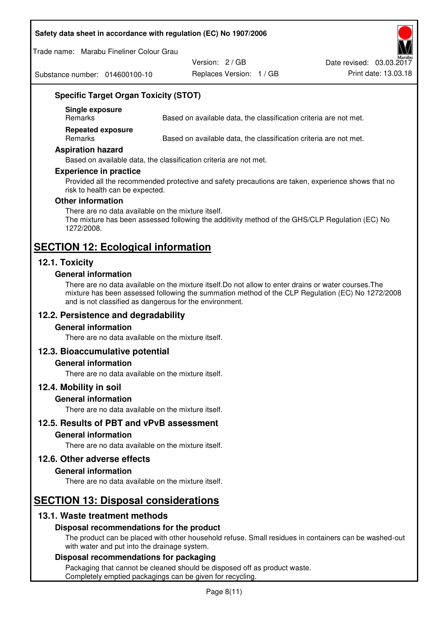#### **Safety data sheet in accordance with regulation (EC) No 1907/2006**

Trade name: Marabu Fineliner Colour Grau

Substance number: 014600100-10

Version: 2 / GB

Replaces Version: 1 / GB Print date: 13.03.18 Date revised: 03.03.2017

# **Specific Target Organ Toxicity (STOT)**

**Single exposure** 

Based on available data, the classification criteria are not met.

**Repeated exposure** 

Remarks Based on available data, the classification criteria are not met.

#### **Aspiration hazard**

Based on available data, the classification criteria are not met.

#### **Experience in practice**

Provided all the recommended protective and safety precautions are taken, experience shows that no risk to health can be expected.

#### **Other information**

There are no data available on the mixture itself. The mixture has been assessed following the additivity method of the GHS/CLP Regulation (EC) No 1272/2008.

# **SECTION 12: Ecological information**

# **12.1. Toxicity**

#### **General information**

There are no data available on the mixture itself.Do not allow to enter drains or water courses.The mixture has been assessed following the summation method of the CLP Regulation (EC) No 1272/2008 and is not classified as dangerous for the environment.

# **12.2. Persistence and degradability**

#### **General information**

There are no data available on the mixture itself.

# **12.3. Bioaccumulative potential**

#### **General information**

There are no data available on the mixture itself.

#### **12.4. Mobility in soil**

#### **General information**

There are no data available on the mixture itself.

**12.5. Results of PBT and vPvB assessment** 

#### **General information**

There are no data available on the mixture itself.

#### **12.6. Other adverse effects**

#### **General information**

There are no data available on the mixture itself.

# **SECTION 13: Disposal considerations**

# **13.1. Waste treatment methods**

# **Disposal recommendations for the product**

The product can be placed with other household refuse. Small residues in containers can be washed-out with water and put into the drainage system.

#### **Disposal recommendations for packaging**

Packaging that cannot be cleaned should be disposed off as product waste. Completely emptied packagings can be given for recycling.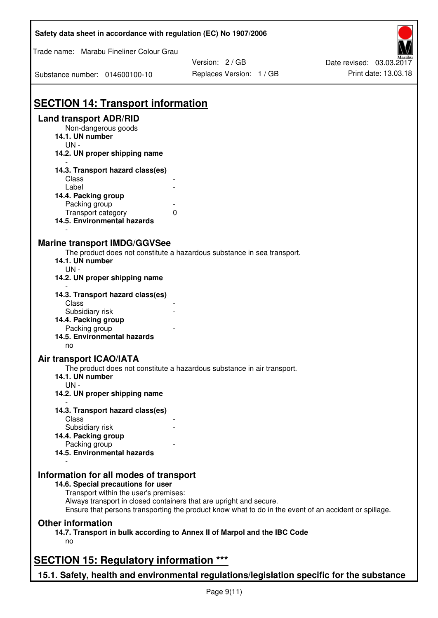| Safety data sheet in accordance with regulation (EC) No 1907/2006                                                                                                                                                                                                                                    |                          |                          |
|------------------------------------------------------------------------------------------------------------------------------------------------------------------------------------------------------------------------------------------------------------------------------------------------------|--------------------------|--------------------------|
| Trade name: Marabu Fineliner Colour Grau                                                                                                                                                                                                                                                             |                          |                          |
|                                                                                                                                                                                                                                                                                                      | Version: 2/GB            | Date revised: 03.03.2017 |
| Substance number: 014600100-10                                                                                                                                                                                                                                                                       | Replaces Version: 1 / GB | Print date: 13.03.18     |
| <b>SECTION 14: Transport information</b>                                                                                                                                                                                                                                                             |                          |                          |
| <b>Land transport ADR/RID</b><br>Non-dangerous goods<br>14.1. UN number<br>$UN -$                                                                                                                                                                                                                    |                          |                          |
| 14.2. UN proper shipping name                                                                                                                                                                                                                                                                        |                          |                          |
| 14.3. Transport hazard class(es)<br>Class                                                                                                                                                                                                                                                            |                          |                          |
| Label<br>14.4. Packing group                                                                                                                                                                                                                                                                         |                          |                          |
| Packing group<br>Transport category<br>0<br>14.5. Environmental hazards                                                                                                                                                                                                                              |                          |                          |
| <b>Marine transport IMDG/GGVSee</b><br>The product does not constitute a hazardous substance in sea transport.<br>14.1. UN number<br>$UN -$<br>14.2. UN proper shipping name                                                                                                                         |                          |                          |
| 14.3. Transport hazard class(es)                                                                                                                                                                                                                                                                     |                          |                          |
| Class<br>Subsidiary risk<br>14.4. Packing group                                                                                                                                                                                                                                                      |                          |                          |
| Packing group<br>14.5. Environmental hazards<br>no                                                                                                                                                                                                                                                   |                          |                          |
| Air transport ICAO/IATA                                                                                                                                                                                                                                                                              |                          |                          |
| The product does not constitute a hazardous substance in air transport.<br>14.1. UN number<br>$UN -$                                                                                                                                                                                                 |                          |                          |
| 14.2. UN proper shipping name                                                                                                                                                                                                                                                                        |                          |                          |
| 14.3. Transport hazard class(es)<br>Class                                                                                                                                                                                                                                                            |                          |                          |
| Subsidiary risk<br>14.4. Packing group                                                                                                                                                                                                                                                               |                          |                          |
| Packing group<br>14.5. Environmental hazards                                                                                                                                                                                                                                                         |                          |                          |
| Information for all modes of transport<br>14.6. Special precautions for user<br>Transport within the user's premises:<br>Always transport in closed containers that are upright and secure.<br>Ensure that persons transporting the product know what to do in the event of an accident or spillage. |                          |                          |
| <b>Other information</b><br>14.7. Transport in bulk according to Annex II of Marpol and the IBC Code<br>no                                                                                                                                                                                           |                          |                          |
| <b>SECTION 15: Regulatory information ***</b>                                                                                                                                                                                                                                                        |                          |                          |
| 15.1. Safety, health and environmental regulations/legislation specific for the substance                                                                                                                                                                                                            |                          |                          |

Page 9(11)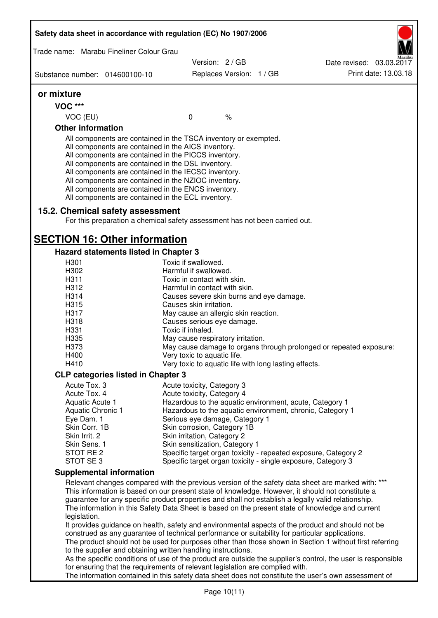|                                | Safety data sheet in accordance with regulation (EC) No 1907/2006                                                                                                                                                                                                                                                                                                                                                                                                 |                                                       |                          |                                                                                                              |
|--------------------------------|-------------------------------------------------------------------------------------------------------------------------------------------------------------------------------------------------------------------------------------------------------------------------------------------------------------------------------------------------------------------------------------------------------------------------------------------------------------------|-------------------------------------------------------|--------------------------|--------------------------------------------------------------------------------------------------------------|
|                                | Trade name: Marabu Fineliner Colour Grau                                                                                                                                                                                                                                                                                                                                                                                                                          | Version: 2/GB                                         |                          | Date revised: 03.03.2017                                                                                     |
| Substance number: 014600100-10 |                                                                                                                                                                                                                                                                                                                                                                                                                                                                   |                                                       | Replaces Version: 1 / GB | Print date: 13.03.18                                                                                         |
| or mixture                     |                                                                                                                                                                                                                                                                                                                                                                                                                                                                   |                                                       |                          |                                                                                                              |
| <b>VOC ***</b>                 |                                                                                                                                                                                                                                                                                                                                                                                                                                                                   |                                                       |                          |                                                                                                              |
| VOC (EU)                       |                                                                                                                                                                                                                                                                                                                                                                                                                                                                   | $\mathbf 0$                                           | $\%$                     |                                                                                                              |
| <b>Other information</b>       |                                                                                                                                                                                                                                                                                                                                                                                                                                                                   |                                                       |                          |                                                                                                              |
|                                | All components are contained in the TSCA inventory or exempted.<br>All components are contained in the AICS inventory.<br>All components are contained in the PICCS inventory.<br>All components are contained in the DSL inventory.<br>All components are contained in the IECSC inventory.<br>All components are contained in the NZIOC inventory.<br>All components are contained in the ENCS inventory.<br>All components are contained in the ECL inventory. |                                                       |                          |                                                                                                              |
|                                | 15.2. Chemical safety assessment<br>For this preparation a chemical safety assessment has not been carried out.                                                                                                                                                                                                                                                                                                                                                   |                                                       |                          |                                                                                                              |
|                                | <b>SECTION 16: Other information</b>                                                                                                                                                                                                                                                                                                                                                                                                                              |                                                       |                          |                                                                                                              |
|                                | Hazard statements listed in Chapter 3                                                                                                                                                                                                                                                                                                                                                                                                                             |                                                       |                          |                                                                                                              |
| H301                           |                                                                                                                                                                                                                                                                                                                                                                                                                                                                   | Toxic if swallowed.<br>Harmful if swallowed.          |                          |                                                                                                              |
| H302<br>H311                   |                                                                                                                                                                                                                                                                                                                                                                                                                                                                   | Toxic in contact with skin.                           |                          |                                                                                                              |
| H312                           |                                                                                                                                                                                                                                                                                                                                                                                                                                                                   | Harmful in contact with skin.                         |                          |                                                                                                              |
| H314                           |                                                                                                                                                                                                                                                                                                                                                                                                                                                                   | Causes severe skin burns and eye damage.              |                          |                                                                                                              |
| H315                           |                                                                                                                                                                                                                                                                                                                                                                                                                                                                   | Causes skin irritation.                               |                          |                                                                                                              |
| H317                           |                                                                                                                                                                                                                                                                                                                                                                                                                                                                   | May cause an allergic skin reaction.                  |                          |                                                                                                              |
| H318                           |                                                                                                                                                                                                                                                                                                                                                                                                                                                                   | Causes serious eye damage.                            |                          |                                                                                                              |
| H331                           |                                                                                                                                                                                                                                                                                                                                                                                                                                                                   | Toxic if inhaled.                                     |                          |                                                                                                              |
| H335                           |                                                                                                                                                                                                                                                                                                                                                                                                                                                                   | May cause respiratory irritation.                     |                          |                                                                                                              |
| H373                           |                                                                                                                                                                                                                                                                                                                                                                                                                                                                   |                                                       |                          | May cause damage to organs through prolonged or repeated exposure:                                           |
| H400                           |                                                                                                                                                                                                                                                                                                                                                                                                                                                                   | Very toxic to aquatic life.                           |                          |                                                                                                              |
| H410                           |                                                                                                                                                                                                                                                                                                                                                                                                                                                                   | Very toxic to aquatic life with long lasting effects. |                          |                                                                                                              |
|                                | <b>CLP categories listed in Chapter 3</b>                                                                                                                                                                                                                                                                                                                                                                                                                         |                                                       |                          |                                                                                                              |
| Acute Tox. 3                   |                                                                                                                                                                                                                                                                                                                                                                                                                                                                   | Acute toxicity, Category 3                            |                          |                                                                                                              |
| Acute Tox. 4                   |                                                                                                                                                                                                                                                                                                                                                                                                                                                                   | Acute toxicity, Category 4                            |                          |                                                                                                              |
| Aquatic Acute 1                |                                                                                                                                                                                                                                                                                                                                                                                                                                                                   |                                                       |                          | Hazardous to the aquatic environment, acute, Category 1                                                      |
| Aquatic Chronic 1              |                                                                                                                                                                                                                                                                                                                                                                                                                                                                   |                                                       |                          | Hazardous to the aquatic environment, chronic, Category 1                                                    |
| Eye Dam. 1                     |                                                                                                                                                                                                                                                                                                                                                                                                                                                                   | Serious eye damage, Category 1                        |                          |                                                                                                              |
| Skin Corr. 1B                  |                                                                                                                                                                                                                                                                                                                                                                                                                                                                   | Skin corrosion, Category 1B                           |                          |                                                                                                              |
| Skin Irrit. 2<br>Skin Sens. 1  |                                                                                                                                                                                                                                                                                                                                                                                                                                                                   | Skin irritation, Category 2                           |                          |                                                                                                              |
| STOT RE 2                      |                                                                                                                                                                                                                                                                                                                                                                                                                                                                   | Skin sensitization, Category 1                        |                          | Specific target organ toxicity - repeated exposure, Category 2                                               |
| STOT SE3                       |                                                                                                                                                                                                                                                                                                                                                                                                                                                                   |                                                       |                          | Specific target organ toxicity - single exposure, Category 3                                                 |
|                                | <b>Supplemental information</b>                                                                                                                                                                                                                                                                                                                                                                                                                                   |                                                       |                          |                                                                                                              |
|                                |                                                                                                                                                                                                                                                                                                                                                                                                                                                                   |                                                       |                          | Relevant changes compared with the previous version of the safety data sheet are marked with: ***            |
|                                |                                                                                                                                                                                                                                                                                                                                                                                                                                                                   |                                                       |                          | This information is based on our present state of knowledge. However, it should not constitute a             |
|                                |                                                                                                                                                                                                                                                                                                                                                                                                                                                                   |                                                       |                          | guarantee for any specific product properties and shall not establish a legally valid relationship.          |
|                                |                                                                                                                                                                                                                                                                                                                                                                                                                                                                   |                                                       |                          | The information in this Safety Data Sheet is based on the present state of knowledge and current             |
| legislation.                   |                                                                                                                                                                                                                                                                                                                                                                                                                                                                   |                                                       |                          |                                                                                                              |
|                                | construed as any guarantee of technical performance or suitability for particular applications.                                                                                                                                                                                                                                                                                                                                                                   |                                                       |                          | It provides guidance on health, safety and environmental aspects of the product and should not be            |
|                                |                                                                                                                                                                                                                                                                                                                                                                                                                                                                   |                                                       |                          | The product should not be used for purposes other than those shown in Section 1 without first referring      |
|                                | to the supplier and obtaining written handling instructions.                                                                                                                                                                                                                                                                                                                                                                                                      |                                                       |                          |                                                                                                              |
|                                |                                                                                                                                                                                                                                                                                                                                                                                                                                                                   |                                                       |                          | As the specific conditions of use of the product are outside the supplier's control, the user is responsible |
|                                | for ensuring that the requirements of relevant legislation are complied with.                                                                                                                                                                                                                                                                                                                                                                                     |                                                       |                          |                                                                                                              |
|                                |                                                                                                                                                                                                                                                                                                                                                                                                                                                                   |                                                       |                          | The information contained in this safety data sheet does not constitute the user's own assessment of         |